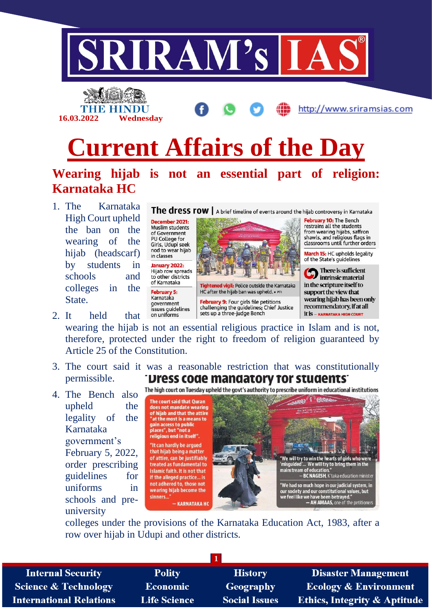

**16.03.2022 Wednesday**

http://www.sriramsias.com

# **Current Affairs of the Day**

**Wearing hijab is not an essential part of religion: Karnataka HC**

1. The Karnataka High Court upheld the ban on the wearing of the hijab (headscarf) by students in schools and colleges in the State.

2. It held that

December 2021: **Muslim students** of Government<br>PU College for<br>Girls, Udupi seek<br>nod to wear hijab in classes January 2022: Hijab row spreads to other districts of Karnataka **February 5:** Karnataka qovernment issues guidelines on uniforms



February 9: Four girls file petitions challenging the quidelines; Chief Justice sets up a three-judge Bench

The dress row | A brief timeline of events around the hijab controversy in Karnataka February 10: The Bench restrains all the students from wearing hijabs, saffron shawls, and religious flags in classrooms until further orders

> March 15: HC upholds legality of the State's quidelines

**O** There is sufficient in the scripture itself to support the view that wearing hijab has been only recommendatory, if at all İt İS - KARNATAKA HIGH COURT

wearing the hijab is not an essential religious practice in Islam and is not, therefore, protected under the right to freedom of religion guaranteed by Article 25 of the Constitution.

- permissible.
- 4. The Bench also upheld the legality of the Karnataka government's February 5, 2022, order prescribing guidelines for uniforms in schools and preuniversity

3. The court said it was a reasonable restriction that was constitutionally "Dress code mandatory for students"

The high court on Tuesday upheld the govt's authority to prescribe uniform in educational institutions



colleges under the provisions of the Karnataka Education Act, 1983, after a row over hijab in Udupi and other districts.

**1**

**Internal Security Science & Technology International Relations** 

**Polity Economic Life Science** 

**History** Geography **Social Issues** 

**Disaster Management Ecology & Environment Ethics, Integrity & Aptitude**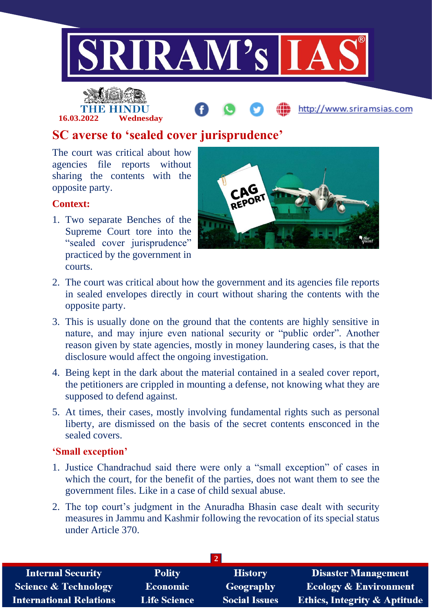

# **16.03.2022 Wednesday**

http://www.sriramsias.com

## **SC averse to 'sealed cover jurisprudence'**

The court was critical about how agencies file reports without sharing the contents with the opposite party.

#### **Context:**

1. Two separate Benches of the Supreme Court tore into the "sealed cover jurisprudence" practiced by the government in courts.



- 2. The court was critical about how the government and its agencies file reports in sealed envelopes directly in court without sharing the contents with the opposite party.
- 3. This is usually done on the ground that the contents are highly sensitive in nature, and may injure even national security or "public order". Another reason given by state agencies, mostly in money laundering cases, is that the disclosure would affect the ongoing investigation.
- 4. Being kept in the dark about the material contained in a sealed cover report, the petitioners are crippled in mounting a defense, not knowing what they are supposed to defend against.
- 5. At times, their cases, mostly involving fundamental rights such as personal liberty, are dismissed on the basis of the secret contents ensconced in the sealed covers.

#### **'Small exception'**

- 1. Justice Chandrachud said there were only a "small exception" of cases in which the court, for the benefit of the parties, does not want them to see the government files. Like in a case of child sexual abuse.
- 2. The top court's judgment in the Anuradha Bhasin case dealt with security measures in Jammu and Kashmir following the revocation of its special status under Article 370.

| <b>Internal Security</b>        | <b>Polity</b>       | <b>History</b>       | <b>Disaster Management</b>              |  |  |  |
|---------------------------------|---------------------|----------------------|-----------------------------------------|--|--|--|
| <b>Science &amp; Technology</b> | Economic            | Geography            | <b>Ecology &amp; Environment</b>        |  |  |  |
| <b>International Relations</b>  | <b>Life Science</b> | <b>Social Issues</b> | <b>Ethics, Integrity &amp; Aptitude</b> |  |  |  |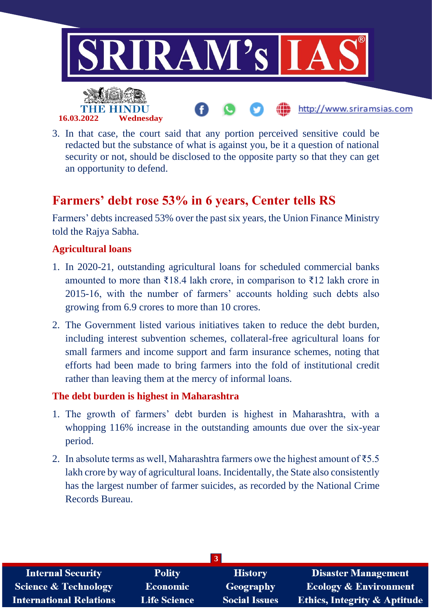

3. In that case, the court said that any portion perceived sensitive could be redacted but the substance of what is against you, be it a question of national security or not, should be disclosed to the opposite party so that they can get an opportunity to defend.

### **Farmers' debt rose 53% in 6 years, Center tells RS**

Farmers' debts increased 53% over the past six years, the Union Finance Ministry told the Rajya Sabha.

#### **Agricultural loans**

- 1. In 2020-21, outstanding agricultural loans for scheduled commercial banks amounted to more than ₹18.4 lakh crore, in comparison to ₹12 lakh crore in 2015-16, with the number of farmers' accounts holding such debts also growing from 6.9 crores to more than 10 crores.
- 2. The Government listed various initiatives taken to reduce the debt burden, including interest subvention schemes, collateral-free agricultural loans for small farmers and income support and farm insurance schemes, noting that efforts had been made to bring farmers into the fold of institutional credit rather than leaving them at the mercy of informal loans.

#### **The debt burden is highest in Maharashtra**

- 1. The growth of farmers' debt burden is highest in Maharashtra, with a whopping 116% increase in the outstanding amounts due over the six-year period.
- 2. In absolute terms as well, Maharashtra farmers owe the highest amount of ₹5.5 lakh crore by way of agricultural loans. Incidentally, the State also consistently has the largest number of farmer suicides, as recorded by the National Crime Records Bureau.

| <b>Internal Security</b>        | <b>Polity</b>       | <b>History</b>       | <b>Disaster Management</b>              |  |  |  |  |
|---------------------------------|---------------------|----------------------|-----------------------------------------|--|--|--|--|
| <b>Science &amp; Technology</b> | Economic            | Geography            | <b>Ecology &amp; Environment</b>        |  |  |  |  |
| <b>International Relations</b>  | <b>Life Science</b> | <b>Social Issues</b> | <b>Ethics, Integrity &amp; Aptitude</b> |  |  |  |  |